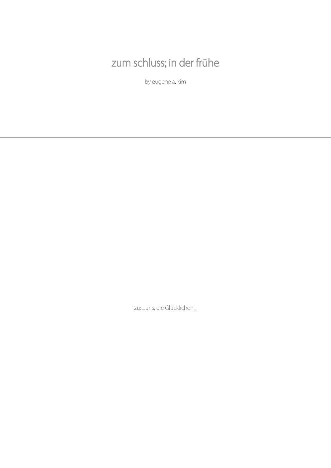# zum schluss; in der frühe

by eugene a. kim

zu: ...uns, die Glücklichen...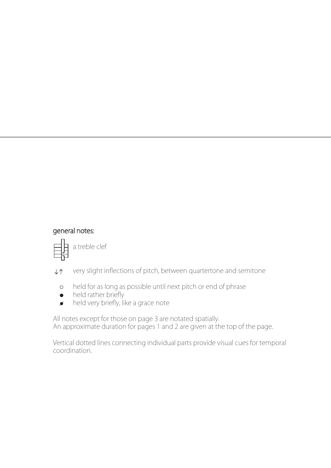## general notes:



 $\downarrow \uparrow$  very slight inflections of pitch, between quartertone and semitone

- held for as long as possible until next pitch or end of phrase
- $\bullet$  held rather briefly
- *held very briefly, like a grace note*

All notes except for those on page 3 are notated spatially. An approximate duration for pages 1 and 2 are given at the top of the page.

Vertical dotted lines connecting individual parts provide visual cues for temporal coordination.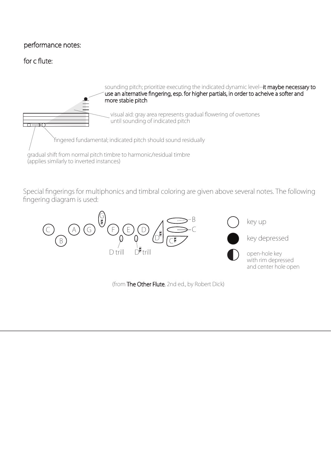#### performance notes:

### for c flute:



Special fingerings for multiphonics and timbral coloring are given above several notes. The following fingering diagram is used:



(from The Other Flute, 2nd ed., by Robert Dick)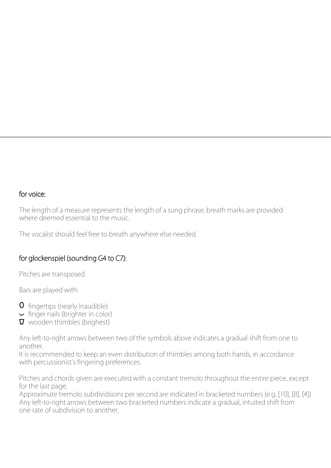#### for voice:

The length of a measure represents the length of a sung phrase; breath marks are provided where deemed essential to the music.

The vocalist should feel free to breath anywhere else needed.

### for glockenspiel (sounding G4 to C7):

Pitches are transposed.

Bars are played with:

- **O** fingertips (nearly inaudible)
- $\sim$  finger nails (brighter in color)
- **v** wooden thimbles (brighest)

Any left-to-right arrows between two of the symbols above indicates a gradual shift from one to another.

It is recommended to keep an even distribution of thimbles among both hands, in accordance with percussionist's fingering preferences.

Pitches and chords given are executed with a constant tremolo throughout the entire piece, except for the last page.

Approximate tremolo subdividsions per second are indicated in bracketed numbers (e.g. [10], [8], [4]) Any left-to-right arrows between two bracketed numbers indicate a gradual, intuited shift from one rate of subdivision to another.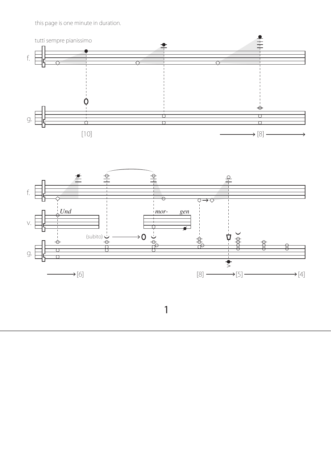this page is one minute in duration.





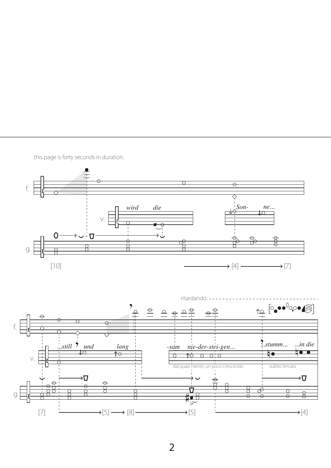

this page is forty seconds in duration.

 $\overline{2}$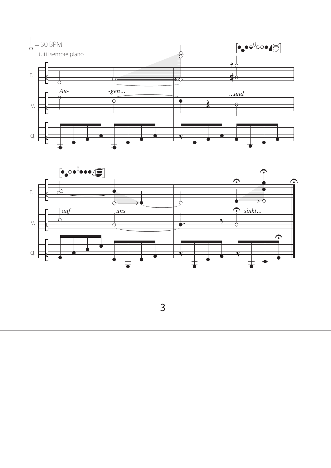



 $\overline{3}$